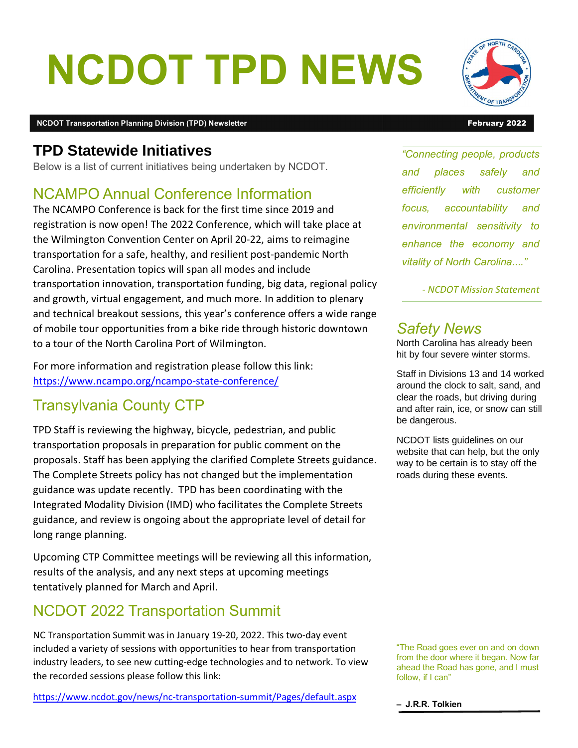# NCDOT TPD NEWS

#### NCDOT Transportation Planning Division (TPD) Newsletter February 2022 and February 2022

### **TPD Statewide Initiatives**

Below is a list of current initiatives being undertaken by NCDOT.

# NCAMPO Annual Conference Information

The NCAMPO Conference is back for the first time since 2019 and registration is now open! The 2022 Conference, which will take place at the Wilmington Convention Center on April 20-22, aims to reimagine transportation for a safe, healthy, and resilient post-pandemic North Carolina. Presentation topics will span all modes and include transportation innovation, transportation funding, big data, regional policy and growth, virtual engagement, and much more. In addition to plenary and technical breakout sessions, this year's conference offers a wide range of mobile tour opportunities from a bike ride through historic downtown to a tour of the North Carolina Port of Wilmington.

For more information and registration please follow this link: https://www.ncampo.org/ncampo-state-conference/

# Transylvania County CTP

TPD Staff is reviewing the highway, bicycle, pedestrian, and public transportation proposals in preparation for public comment on the proposals. Staff has been applying the clarified Complete Streets guidance. The Complete Streets policy has not changed but the implementation guidance was update recently. TPD has been coordinating with the Integrated Modality Division (IMD) who facilitates the Complete Streets guidance, and review is ongoing about the appropriate level of detail for long range planning.

Upcoming CTP Committee meetings will be reviewing all this information, results of the analysis, and any next steps at upcoming meetings tentatively planned for March and April.

# NCDOT 2022 Transportation Summit

NC Transportation Summit was in January 19-20, 2022. This two-day event included a variety of sessions with opportunities to hear from transportation industry leaders, to see new cutting-edge technologies and to network. To view the recorded sessions please follow this link:

https://www.ncdot.gov/news/nc-transportation-summit/Pages/default.aspx



"Connecting people, products and places safely and efficiently with customer focus, accountability and environmental sensitivity to enhance the economy and vitality of North Carolina...."

- NCDOT Mission Statement

#### Safety News

North Carolina has already been hit by four severe winter storms.

Staff in Divisions 13 and 14 worked around the clock to salt, sand, and clear the roads, but driving during and after rain, ice, or snow can still be dangerous.

NCDOT lists guidelines on our website that can help, but the only way to be certain is to stay off the roads during these events.

"The Road goes ever on and on down from the door where it began. Now far ahead the Road has gone, and I must follow, if I can"

– J.R.R. Tolkien